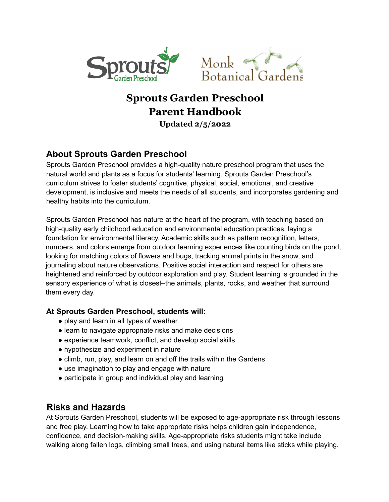



# **Sprouts Garden Preschool Parent Handbook**

#### **Updated 2/5/2022**

# **About Sprouts Garden Preschool**

Sprouts Garden Preschool provides a high-quality nature preschool program that uses the natural world and plants as a focus for students' learning. Sprouts Garden Preschool's curriculum strives to foster students' cognitive, physical, social, emotional, and creative development, is inclusive and meets the needs of all students, and incorporates gardening and healthy habits into the curriculum.

Sprouts Garden Preschool has nature at the heart of the program, with teaching based on high-quality early childhood education and environmental education practices, laying a foundation for environmental literacy. Academic skills such as pattern recognition, letters, numbers, and colors emerge from outdoor learning experiences like counting birds on the pond, looking for matching colors of flowers and bugs, tracking animal prints in the snow, and journaling about nature observations. Positive social interaction and respect for others are heightened and reinforced by outdoor exploration and play. Student learning is grounded in the sensory experience of what is closest–the animals, plants, rocks, and weather that surround them every day.

#### **At Sprouts Garden Preschool, students will:**

- play and learn in all types of weather
- learn to navigate appropriate risks and make decisions
- experience teamwork, conflict, and develop social skills
- hypothesize and experiment in nature
- climb, run, play, and learn on and off the trails within the Gardens
- use imagination to play and engage with nature
- participate in group and individual play and learning

#### **Risks and Hazards**

At Sprouts Garden Preschool, students will be exposed to age-appropriate risk through lessons and free play. Learning how to take appropriate risks helps children gain independence, confidence, and decision-making skills. Age-appropriate risks students might take include walking along fallen logs, climbing small trees, and using natural items like sticks while playing.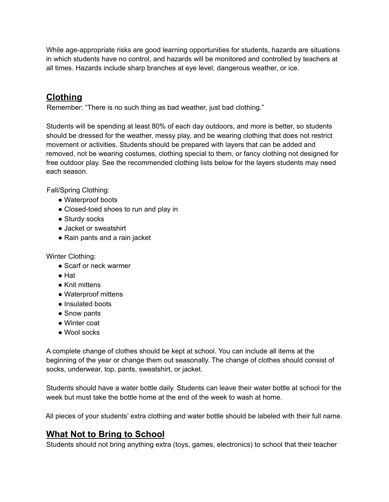While age-appropriate risks are good learning opportunities for students, hazards are situations in which students have no control, and hazards will be monitored and controlled by teachers at all times. Hazards include sharp branches at eye level, dangerous weather, or ice.

# **Clothing**

Remember: "There is no such thing as bad weather, just bad clothing."

Students will be spending at least 80% of each day outdoors, and more is better, so students should be dressed for the weather, messy play, and be wearing clothing that does not restrict movement or activities. Students should be prepared with layers that can be added and removed, not be wearing costumes, clothing special to them, or fancy clothing not designed for free outdoor play. See the recommended clothing lists below for the layers students may need each season.

Fall/Spring Clothing:

- Waterproof boots
- Closed-toed shoes to run and play in
- Sturdy socks
- Jacket or sweatshirt
- Rain pants and a rain jacket

Winter Clothing:

- Scarf or neck warmer
- $\bullet$  Hat
- Knit mittens
- Waterproof mittens
- Insulated boots
- Snow pants
- Winter coat
- Wool socks

A complete change of clothes should be kept at school. You can include all items at the beginning of the year or change them out seasonally. The change of clothes should consist of socks, underwear, top, pants, sweatshirt, or jacket.

Students should have a water bottle daily. Students can leave their water bottle at school for the week but must take the bottle home at the end of the week to wash at home.

All pieces of your students' extra clothing and water bottle should be labeled with their full name.

# **What Not to Bring to School**

Students should not bring anything extra (toys, games, electronics) to school that their teacher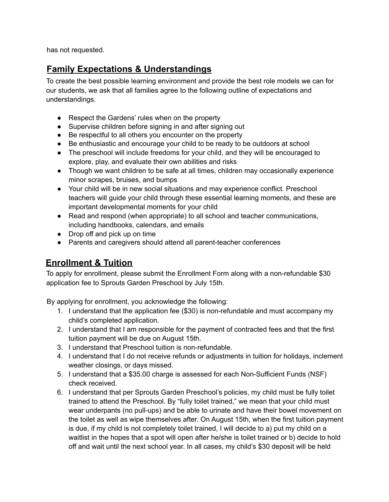has not requested.

### **Family Expectations & Understandings**

To create the best possible learning environment and provide the best role models we can for our students, we ask that all families agree to the following outline of expectations and understandings.

- Respect the Gardens' rules when on the property
- Supervise children before signing in and after signing out
- Be respectful to all others you encounter on the property
- Be enthusiastic and encourage your child to be ready to be outdoors at school
- The preschool will include freedoms for your child, and they will be encouraged to explore, play, and evaluate their own abilities and risks
- Though we want children to be safe at all times, children may occasionally experience minor scrapes, bruises, and bumps
- Your child will be in new social situations and may experience conflict. Preschool teachers will guide your child through these essential learning moments, and these are important developmental moments for your child
- Read and respond (when appropriate) to all school and teacher communications, including handbooks, calendars, and emails
- Drop off and pick up on time
- Parents and caregivers should attend all parent-teacher conferences

### **Enrollment & Tuition**

To apply for enrollment, please submit the Enrollment Form along with a non-refundable \$30 application fee to Sprouts Garden Preschool by July 15th.

By applying for enrollment, you acknowledge the following:

- 1. I understand that the application fee (\$30) is non-refundable and must accompany my child's completed application.
- 2. I understand that I am responsible for the payment of contracted fees and that the first tuition payment will be due on August 15th.
- 3. I understand that Preschool tuition is non-refundable.
- 4. I understand that I do not receive refunds or adjustments in tuition for holidays, inclement weather closings, or days missed.
- 5. I understand that a \$35.00 charge is assessed for each Non-Sufficient Funds (NSF) check received.
- 6. I understand that per Sprouts Garden Preschool's policies, my child must be fully toilet trained to attend the Preschool. By "fully toilet trained," we mean that your child must wear underpants (no pull-ups) and be able to urinate and have their bowel movement on the toilet as well as wipe themselves after. On August 15th, when the first tuition payment is due, if my child is not completely toilet trained, I will decide to a) put my child on a waitlist in the hopes that a spot will open after he/she is toilet trained or b) decide to hold off and wait until the next school year. In all cases, my child's \$30 deposit will be held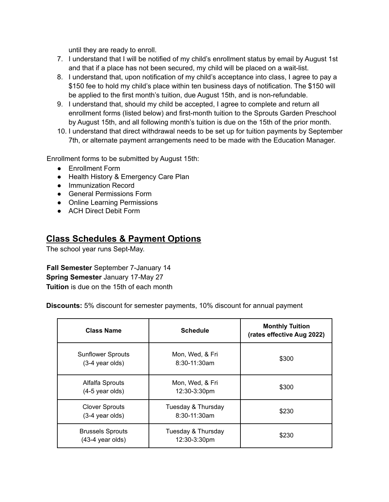until they are ready to enroll.

- 7. I understand that I will be notified of my child's enrollment status by email by August 1st and that if a place has not been secured, my child will be placed on a wait-list.
- 8. I understand that, upon notification of my child's acceptance into class, I agree to pay a \$150 fee to hold my child's place within ten business days of notification. The \$150 will be applied to the first month's tuition, due August 15th, and is non-refundable.
- 9. I understand that, should my child be accepted, I agree to complete and return all enrollment forms (listed below) and first-month tuition to the Sprouts Garden Preschool by August 15th, and all following month's tuition is due on the 15th of the prior month.
- 10. I understand that direct withdrawal needs to be set up for tuition payments by September 7th, or alternate payment arrangements need to be made with the Education Manager.

Enrollment forms to be submitted by August 15th:

- Enrollment Form
- Health History & Emergency Care Plan
- Immunization Record
- General Permissions Form
- Online Learning Permissions
- ACH Direct Debit Form

### **Class Schedules & Payment Options**

The school year runs Sept-May.

**Fall Semester** September 7-January 14 **Spring Semester** January 17-May 27 **Tuition** is due on the 15th of each month

**Discounts:** 5% discount for semester payments, 10% discount for annual payment

| <b>Class Name</b>                                     | <b>Schedule</b>                      | <b>Monthly Tuition</b><br>(rates effective Aug 2022) |
|-------------------------------------------------------|--------------------------------------|------------------------------------------------------|
| <b>Sunflower Sprouts</b><br>(3-4 year olds)           | Mon, Wed, & Fri<br>$8:30-11:30am$    | \$300                                                |
| Alfalfa Sprouts<br>$(4-5$ year olds)                  | Mon, Wed, & Fri<br>$12:30-3:30$ pm   | \$300                                                |
| <b>Clover Sprouts</b><br>(3-4 year olds)              | Tuesday & Thursday<br>$8:30-11:30am$ | \$230                                                |
| <b>Brussels Sprouts</b><br>$(43-4 \text{ year}$ olds) | Tuesday & Thursday<br>12:30-3:30pm   | \$230                                                |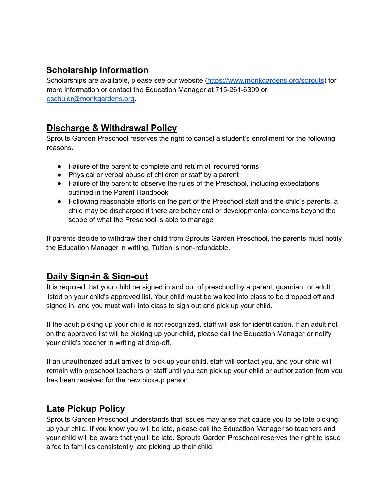# **Scholarship Information**

Scholarships are available, please see our website [\(https://www.monkgardens.org/sprouts](https://www.monkgardens.org/page/sprouts-garden-preschool)) for more information or contact the Education Manager at 715-261-6309 or [eschuler@monkgardens.org.](mailto:eschuler@monkgardens.org)

# **Discharge & Withdrawal Policy**

Sprouts Garden Preschool reserves the right to cancel a student's enrollment for the following reasons.

- Failure of the parent to complete and return all required forms
- Physical or verbal abuse of children or staff by a parent
- Failure of the parent to observe the rules of the Preschool, including expectations outlined in the Parent Handbook
- Following reasonable efforts on the part of the Preschool staff and the child's parents, a child may be discharged if there are behavioral or developmental concerns beyond the scope of what the Preschool is able to manage

If parents decide to withdraw their child from Sprouts Garden Preschool, the parents must notify the Education Manager in writing. Tuition is non-refundable.

# **Daily Sign-in & Sign-out**

It is required that your child be signed in and out of preschool by a parent, guardian, or adult listed on your child's approved list. Your child must be walked into class to be dropped off and signed in, and you must walk into class to sign out and pick up your child.

If the adult picking up your child is not recognized, staff will ask for identification. If an adult not on the approved list will be picking up your child, please call the Education Manager or notify your child's teacher in writing at drop-off.

If an unauthorized adult arrives to pick up your child, staff will contact you, and your child will remain with preschool teachers or staff until you can pick up your child or authorization from you has been received for the new pick-up person.

# **Late Pickup Policy**

Sprouts Garden Preschool understands that issues may arise that cause you to be late picking up your child. If you know you will be late, please call the Education Manager so teachers and your child will be aware that you'll be late. Sprouts Garden Preschool reserves the right to issue a fee to families consistently late picking up their child.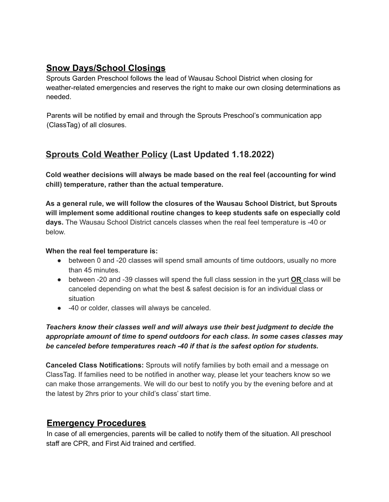## **Snow Days/School Closings**

Sprouts Garden Preschool follows the lead of Wausau School District when closing for weather-related emergencies and reserves the right to make our own closing determinations as needed.

Parents will be notified by email and through the Sprouts Preschool's communication app (ClassTag) of all closures.

# **Sprouts Cold Weather Policy (Last Updated 1.18.2022)**

**Cold weather decisions will always be made based on the real feel (accounting for wind chill) temperature, rather than the actual temperature.**

**As a general rule, we will follow the closures of the Wausau School District, but Sprouts will implement some additional routine changes to keep students safe on especially cold days.** The Wausau School District cancels classes when the real feel temperature is -40 or below.

#### **When the real feel temperature is:**

- between 0 and -20 classes will spend small amounts of time outdoors, usually no more than 45 minutes.
- between -20 and -39 classes will spend the full class session in the yurt **OR** class will be canceled depending on what the best & safest decision is for an individual class or situation
- -40 or colder, classes will always be canceled.

#### *Teachers know their classes well and will always use their best judgment to decide the appropriate amount of time to spend outdoors for each class. In some cases classes may be canceled before temperatures reach -40 if that is the safest option for students.*

**Canceled Class Notifications:** Sprouts will notify families by both email and a message on ClassTag. If families need to be notified in another way, please let your teachers know so we can make those arrangements. We will do our best to notify you by the evening before and at the latest by 2hrs prior to your child's class' start time.

### **Emergency Procedures**

In case of all emergencies, parents will be called to notify them of the situation. All preschool staff are CPR, and First Aid trained and certified.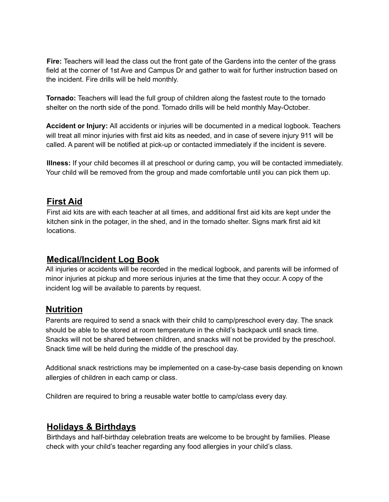**Fire:** Teachers will lead the class out the front gate of the Gardens into the center of the grass field at the corner of 1st Ave and Campus Dr and gather to wait for further instruction based on the incident. Fire drills will be held monthly.

**Tornado:** Teachers will lead the full group of children along the fastest route to the tornado shelter on the north side of the pond. Tornado drills will be held monthly May-October.

**Accident or Injury:** All accidents or injuries will be documented in a medical logbook. Teachers will treat all minor injuries with first aid kits as needed, and in case of severe injury 911 will be called. A parent will be notified at pick-up or contacted immediately if the incident is severe.

**Illness:** If your child becomes ill at preschool or during camp, you will be contacted immediately. Your child will be removed from the group and made comfortable until you can pick them up.

### **First Aid**

First aid kits are with each teacher at all times, and additional first aid kits are kept under the kitchen sink in the potager, in the shed, and in the tornado shelter. Signs mark first aid kit locations.

### **Medical/Incident Log Book**

All injuries or accidents will be recorded in the medical logbook, and parents will be informed of minor injuries at pickup and more serious injuries at the time that they occur. A copy of the incident log will be available to parents by request.

### **Nutrition**

Parents are required to send a snack with their child to camp/preschool every day. The snack should be able to be stored at room temperature in the child's backpack until snack time. Snacks will not be shared between children, and snacks will not be provided by the preschool. Snack time will be held during the middle of the preschool day.

Additional snack restrictions may be implemented on a case-by-case basis depending on known allergies of children in each camp or class.

Children are required to bring a reusable water bottle to camp/class every day.

# **Holidays & Birthdays**

Birthdays and half-birthday celebration treats are welcome to be brought by families. Please check with your child's teacher regarding any food allergies in your child's class.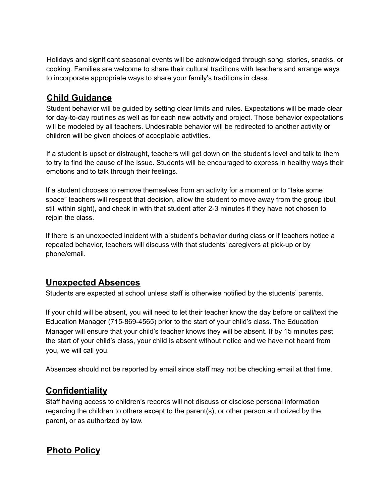Holidays and significant seasonal events will be acknowledged through song, stories, snacks, or cooking. Families are welcome to share their cultural traditions with teachers and arrange ways to incorporate appropriate ways to share your family's traditions in class.

### **Child Guidance**

Student behavior will be guided by setting clear limits and rules. Expectations will be made clear for day-to-day routines as well as for each new activity and project. Those behavior expectations will be modeled by all teachers. Undesirable behavior will be redirected to another activity or children will be given choices of acceptable activities.

If a student is upset or distraught, teachers will get down on the student's level and talk to them to try to find the cause of the issue. Students will be encouraged to express in healthy ways their emotions and to talk through their feelings.

If a student chooses to remove themselves from an activity for a moment or to "take some space" teachers will respect that decision, allow the student to move away from the group (but still within sight), and check in with that student after 2-3 minutes if they have not chosen to rejoin the class.

If there is an unexpected incident with a student's behavior during class or if teachers notice a repeated behavior, teachers will discuss with that students' caregivers at pick-up or by phone/email.

# **Unexpected Absences**

Students are expected at school unless staff is otherwise notified by the students' parents.

If your child will be absent, you will need to let their teacher know the day before or call/text the Education Manager (715-869-4565) prior to the start of your child's class. The Education Manager will ensure that your child's teacher knows they will be absent. If by 15 minutes past the start of your child's class, your child is absent without notice and we have not heard from you, we will call you.

Absences should not be reported by email since staff may not be checking email at that time.

# **Confidentiality**

Staff having access to children's records will not discuss or disclose personal information regarding the children to others except to the parent(s), or other person authorized by the parent, or as authorized by law.

# **Photo Policy**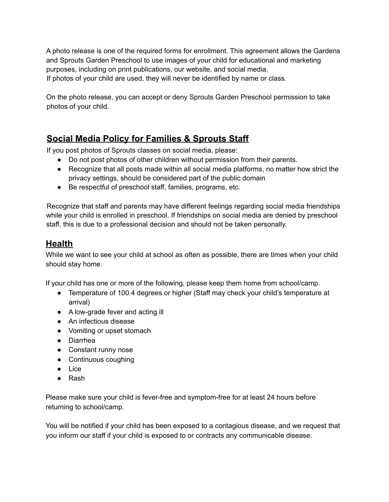A photo release is one of the required forms for enrollment. This agreement allows the Gardens and Sprouts Garden Preschool to use images of your child for educational and marketing purposes, including on print publications, our website, and social media. If photos of your child are used, they will never be identified by name or class.

On the photo release, you can accept or deny Sprouts Garden Preschool permission to take photos of your child.

# **Social Media Policy for Families & Sprouts Staff**

If you post photos of Sprouts classes on social media, please:

- Do not post photos of other children without permission from their parents.
- Recognize that all posts made within all social media platforms, no matter how strict the privacy settings, should be considered part of the public domain
- Be respectful of preschool staff, families, programs, etc.

Recognize that staff and parents may have different feelings regarding social media friendships while your child is enrolled in preschool. If friendships on social media are denied by preschool staff, this is due to a professional decision and should not be taken personally.

# **Health**

While we want to see your child at school as often as possible, there are times when your child should stay home.

If your child has one or more of the following, please keep them home from school/camp.

- Temperature of 100.4 degrees or higher (Staff may check your child's temperature at arrival)
- A low-grade fever and acting ill
- An infectious disease
- Vomiting or upset stomach
- Diarrhea
- Constant runny nose
- Continuous coughing
- Lice
- Rash

Please make sure your child is fever-free and symptom-free for at least 24 hours before returning to school/camp.

You will be notified if your child has been exposed to a contagious disease, and we request that you inform our staff if your child is exposed to or contracts any communicable disease.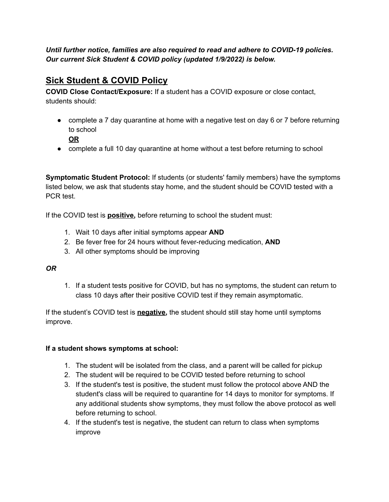*Until further notice, families are also required to read and adhere to COVID-19 policies. Our current Sick Student & COVID policy (updated 1/9/2022) is below.*

# **Sick Student & COVID Policy**

**COVID Close Contact/Exposure:** If a student has a COVID exposure or close contact, students should:

- complete a 7 day quarantine at home with a negative test on day 6 or 7 before returning to school
	- **OR**
- complete a full 10 day quarantine at home without a test before returning to school

**Symptomatic Student Protocol:** If students (or students' family members) have the symptoms listed below, we ask that students stay home, and the student should be COVID tested with a PCR test.

If the COVID test is **positive,** before returning to school the student must:

- 1. Wait 10 days after initial symptoms appear **AND**
- 2. Be fever free for 24 hours without fever-reducing medication, **AND**
- 3. All other symptoms should be improving

#### *OR*

1. If a student tests positive for COVID, but has no symptoms, the student can return to class 10 days after their positive COVID test if they remain asymptomatic.

If the student's COVID test is **negative,** the student should still stay home until symptoms improve.

#### **If a student shows symptoms at school:**

- 1. The student will be isolated from the class, and a parent will be called for pickup
- 2. The student will be required to be COVID tested before returning to school
- 3. If the student's test is positive, the student must follow the protocol above AND the student's class will be required to quarantine for 14 days to monitor for symptoms. If any additional students show symptoms, they must follow the above protocol as well before returning to school.
- 4. If the student's test is negative, the student can return to class when symptoms improve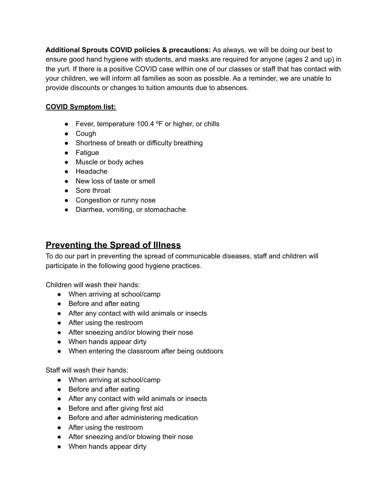**Additional Sprouts COVID policies & precautions:** As always, we will be doing our best to ensure good hand hygiene with students, and masks are required for anyone (ages 2 and up) in the yurt. If there is a positive COVID case within one of our classes or staff that has contact with your children, we will inform all families as soon as possible. As a reminder, we are unable to provide discounts or changes to tuition amounts due to absences.

#### **COVID Symptom list:**

- Fever, temperature 100.4 °F or higher, or chills
- Cough
- Shortness of breath or difficulty breathing
- Fatigue
- Muscle or body aches
- Headache
- New loss of taste or smell
- Sore throat
- Congestion or runny nose
- Diarrhea, vomiting, or stomachache

#### **Preventing the Spread of Illness**

To do our part in preventing the spread of communicable diseases, staff and children will participate in the following good hygiene practices.

Children will wash their hands:

- When arriving at school/camp
- Before and after eating
- After any contact with wild animals or insects
- After using the restroom
- After sneezing and/or blowing their nose
- When hands appear dirty
- When entering the classroom after being outdoors

Staff will wash their hands:

- When arriving at school/camp
- Before and after eating
- After any contact with wild animals or insects
- Before and after giving first aid
- Before and after administering medication
- After using the restroom
- After sneezing and/or blowing their nose
- When hands appear dirty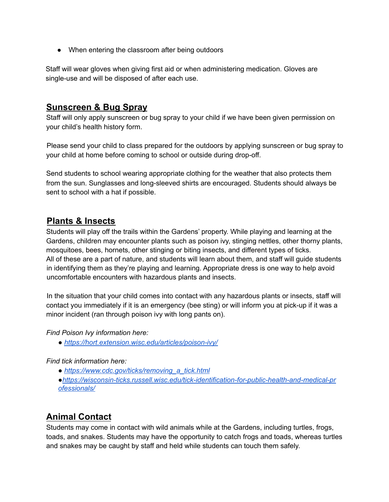• When entering the classroom after being outdoors

Staff will wear gloves when giving first aid or when administering medication. Gloves are single-use and will be disposed of after each use.

#### **Sunscreen & Bug Spray**

Staff will only apply sunscreen or bug spray to your child if we have been given permission on your child's health history form.

Please send your child to class prepared for the outdoors by applying sunscreen or bug spray to your child at home before coming to school or outside during drop-off.

Send students to school wearing appropriate clothing for the weather that also protects them from the sun. Sunglasses and long-sleeved shirts are encouraged. Students should always be sent to school with a hat if possible.

#### **Plants & Insects**

Students will play off the trails within the Gardens' property. While playing and learning at the Gardens, children may encounter plants such as poison ivy, stinging nettles, other thorny plants, mosquitoes, bees, hornets, other stinging or biting insects, and different types of ticks. All of these are a part of nature, and students will learn about them, and staff will guide students in identifying them as they're playing and learning. Appropriate dress is one way to help avoid uncomfortable encounters with hazardous plants and insects.

In the situation that your child comes into contact with any hazardous plants or insects, staff will contact you immediately if it is an emergency (bee sting) or will inform you at pick-up if it was a minor incident (ran through poison ivy with long pants on).

#### *Find Poison Ivy information here:*

*● https://hort.extension.wisc.edu/articles/poison-ivy/*

#### *Find tick information here:*

- *● https://www.cdc.gov/ticks/removing\_a\_tick.html*
- *●https://wisconsin-ticks.russell.wisc.edu/tick-identification-for-public-health-and-medical-pr ofessionals/*

### **Animal Contact**

Students may come in contact with wild animals while at the Gardens, including turtles, frogs, toads, and snakes. Students may have the opportunity to catch frogs and toads, whereas turtles and snakes may be caught by staff and held while students can touch them safely.